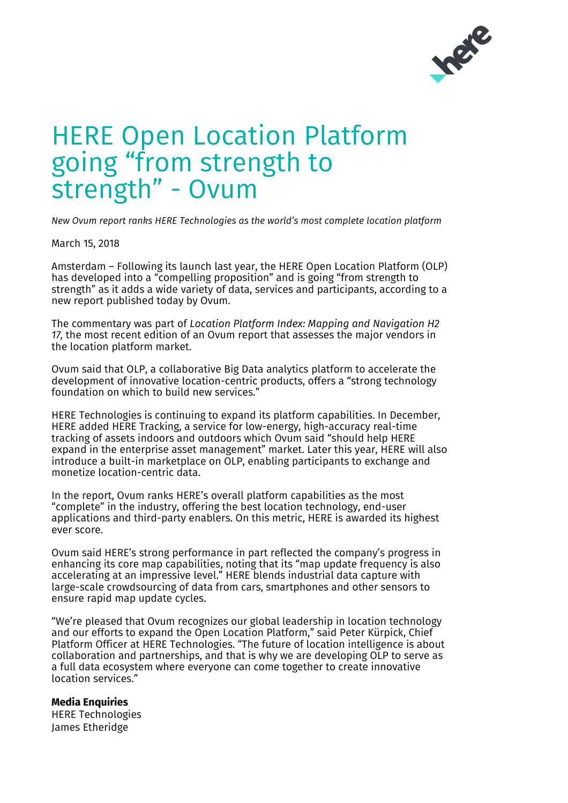

## HERE Open Location Platform going "from strength to strength" - Ovum

*New Ovum report ranks HERE Technologies as the world's most complete location platform*

March 15, 2018

Amsterdam – Following its launch last year, the HERE Open Location Platform (OLP) has developed into a "compelling proposition" and is going "from strength to strength" as it adds a wide variety of data, services and participants, according to a new report published today by Ovum.

The commentary was part of *Location Platform Index: Mapping and Navigation H2 17,* the most recent edition of an Ovum report that assesses the major vendors in the location platform market.

Ovum said that OLP, a collaborative Big Data analytics platform to accelerate the development of innovative location-centric products, offers a "strong technology foundation on which to build new services."

HERE Technologies is continuing to expand its platform capabilities. In December, HERE added HERE Tracking, a service for low-energy, high-accuracy real-time tracking of assets indoors and outdoors which Ovum said "should help HERE expand in the enterprise asset management" market. Later this year, HERE will also introduce a built-in marketplace on OLP, enabling participants to exchange and monetize location-centric data.

In the report, Ovum ranks HERE's overall platform capabilities as the most "complete" in the industry, offering the best location technology, end-user applications and third-party enablers. On this metric, HERE is awarded its highest ever score.

Ovum said HERE's strong performance in part reflected the company's progress in enhancing its core map capabilities, noting that its "map update frequency is also accelerating at an impressive level." HERE blends industrial data capture with large-scale crowdsourcing of data from cars, smartphones and other sensors to ensure rapid map update cycles.

"We're pleased that Ovum recognizes our global leadership in location technology and our efforts to expand the Open Location Platform," said Peter Kürpick, Chief Platform Officer at HERE Technologies. "The future of location intelligence is about collaboration and partnerships, and that is why we are developing OLP to serve as a full data ecosystem where everyone can come together to create innovative location services."

## **Media Enquiries**

HERE Technologies James Etheridge